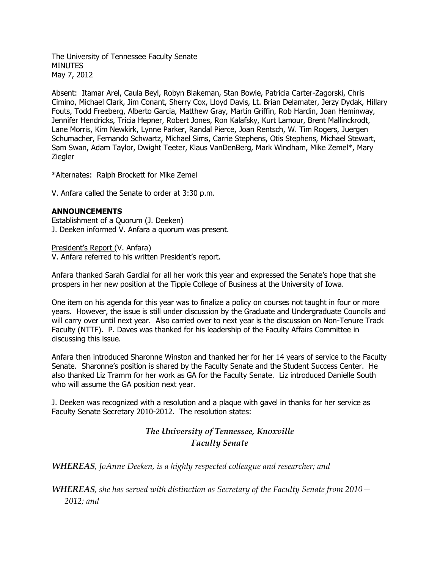The University of Tennessee Faculty Senate **MINUTES** May 7, 2012

Absent: Itamar Arel, Caula Beyl, Robyn Blakeman, Stan Bowie, Patricia Carter-Zagorski, Chris Cimino, Michael Clark, Jim Conant, Sherry Cox, Lloyd Davis, Lt. Brian Delamater, Jerzy Dydak, Hillary Fouts, Todd Freeberg, Alberto Garcia, Matthew Gray, Martin Griffin, Rob Hardin, Joan Heminway, Jennifer Hendricks, Tricia Hepner, Robert Jones, Ron Kalafsky, Kurt Lamour, Brent Mallinckrodt, Lane Morris, Kim Newkirk, Lynne Parker, Randal Pierce, Joan Rentsch, W. Tim Rogers, Juergen Schumacher, Fernando Schwartz, Michael Sims, Carrie Stephens, Otis Stephens, Michael Stewart, Sam Swan, Adam Taylor, Dwight Teeter, Klaus VanDenBerg, Mark Windham, Mike Zemel\*, Mary **Ziegler** 

\*Alternates: Ralph Brockett for Mike Zemel

V. Anfara called the Senate to order at 3:30 p.m.

# **ANNOUNCEMENTS**

Establishment of a Quorum (J. Deeken) J. Deeken informed V. Anfara a quorum was present.

President's Report (V. Anfara) V. Anfara referred to his written President's report.

Anfara thanked Sarah Gardial for all her work this year and expressed the Senate's hope that she prospers in her new position at the Tippie College of Business at the University of Iowa.

One item on his agenda for this year was to finalize a policy on courses not taught in four or more years. However, the issue is still under discussion by the Graduate and Undergraduate Councils and will carry over until next year. Also carried over to next year is the discussion on Non-Tenure Track Faculty (NTTF). P. Daves was thanked for his leadership of the Faculty Affairs Committee in discussing this issue.

Anfara then introduced Sharonne Winston and thanked her for her 14 years of service to the Faculty Senate. Sharonne's position is shared by the Faculty Senate and the Student Success Center. He also thanked Liz Tramm for her work as GA for the Faculty Senate. Liz introduced Danielle South who will assume the GA position next year.

J. Deeken was recognized with a resolution and a plaque with gavel in thanks for her service as Faculty Senate Secretary 2010-2012. The resolution states:

# *The University of Tennessee, Knoxville Faculty Senate*

*WHEREAS, JoAnne Deeken, is a highly respected colleague and researcher; and*

*WHEREAS, she has served with distinction as Secretary of the Faculty Senate from 2010— 2012; and*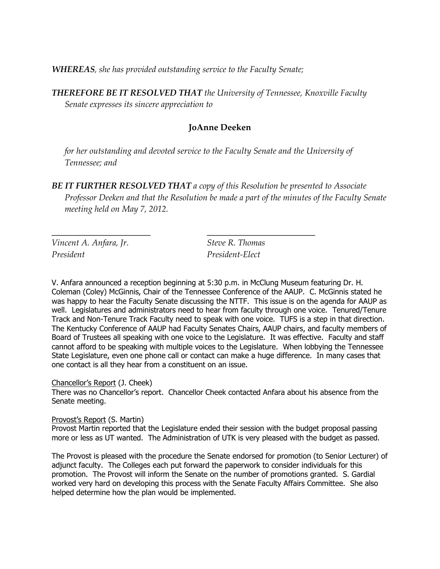*WHEREAS, she has provided outstanding service to the Faculty Senate;* 

 $\frac{1}{2}$  ,  $\frac{1}{2}$  ,  $\frac{1}{2}$  ,  $\frac{1}{2}$  ,  $\frac{1}{2}$  ,  $\frac{1}{2}$  ,  $\frac{1}{2}$  ,  $\frac{1}{2}$  ,  $\frac{1}{2}$  ,  $\frac{1}{2}$  ,  $\frac{1}{2}$  ,  $\frac{1}{2}$  ,  $\frac{1}{2}$  ,  $\frac{1}{2}$  ,  $\frac{1}{2}$  ,  $\frac{1}{2}$  ,  $\frac{1}{2}$  ,  $\frac{1}{2}$  ,  $\frac{1$ 

*THEREFORE BE IT RESOLVED THAT the University of Tennessee, Knoxville Faculty Senate expresses its sincere appreciation to*

# **JoAnne Deeken**

*for her outstanding and devoted service to the Faculty Senate and the University of Tennessee; and*

*BE IT FURTHER RESOLVED THAT a copy of this Resolution be presented to Associate Professor Deeken and that the Resolution be made a part of the minutes of the Faculty Senate meeting held on May 7, 2012.*

*Vincent A. Anfara, Jr. Steve R. Thomas President President-Elect*

V. Anfara announced a reception beginning at 5:30 p.m. in McClung Museum featuring Dr. H. Coleman (Coley) McGinnis, Chair of the Tennessee Conference of the AAUP. C. McGinnis stated he was happy to hear the Faculty Senate discussing the NTTF. This issue is on the agenda for AAUP as well. Legislatures and administrators need to hear from faculty through one voice. Tenured/Tenure Track and Non-Tenure Track Faculty need to speak with one voice. TUFS is a step in that direction. The Kentucky Conference of AAUP had Faculty Senates Chairs, AAUP chairs, and faculty members of Board of Trustees all speaking with one voice to the Legislature. It was effective. Faculty and staff cannot afford to be speaking with multiple voices to the Legislature. When lobbying the Tennessee State Legislature, even one phone call or contact can make a huge difference. In many cases that one contact is all they hear from a constituent on an issue.

Chancellor's Report (J. Cheek)

There was no Chancellor's report. Chancellor Cheek contacted Anfara about his absence from the Senate meeting.

Provost's Report (S. Martin)

Provost Martin reported that the Legislature ended their session with the budget proposal passing more or less as UT wanted. The Administration of UTK is very pleased with the budget as passed.

The Provost is pleased with the procedure the Senate endorsed for promotion (to Senior Lecturer) of adjunct faculty. The Colleges each put forward the paperwork to consider individuals for this promotion. The Provost will inform the Senate on the number of promotions granted. S. Gardial worked very hard on developing this process with the Senate Faculty Affairs Committee. She also helped determine how the plan would be implemented.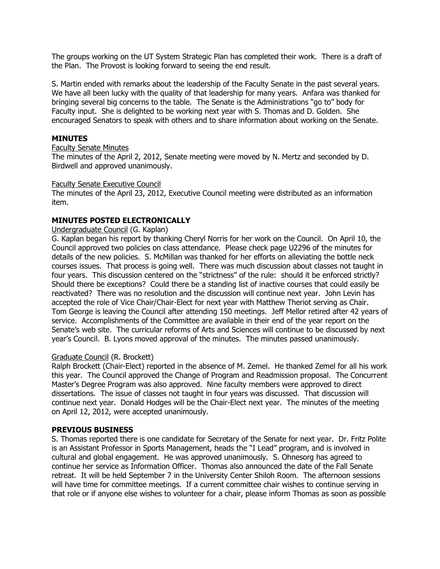The groups working on the UT System Strategic Plan has completed their work. There is a draft of the Plan. The Provost is looking forward to seeing the end result.

S. Martin ended with remarks about the leadership of the Faculty Senate in the past several years. We have all been lucky with the quality of that leadership for many years. Anfara was thanked for bringing several big concerns to the table. The Senate is the Administrations "go to" body for Faculty input. She is delighted to be working next year with S. Thomas and D. Golden. She encouraged Senators to speak with others and to share information about working on the Senate.

# **MINUTES**

#### Faculty Senate Minutes

The minutes of the April 2, 2012, Senate meeting were moved by N. Mertz and seconded by D. Birdwell and approved unanimously.

#### Faculty Senate Executive Council

The minutes of the April 23, 2012, Executive Council meeting were distributed as an information item.

# **MINUTES POSTED ELECTRONICALLY**

#### Undergraduate Council (G. Kaplan)

G. Kaplan began his report by thanking Cheryl Norris for her work on the Council. On April 10, the Council approved two policies on class attendance. Please check page U2296 of the minutes for details of the new policies. S. McMillan was thanked for her efforts on alleviating the bottle neck courses issues. That process is going well. There was much discussion about classes not taught in four years. This discussion centered on the "strictness" of the rule: should it be enforced strictly? Should there be exceptions? Could there be a standing list of inactive courses that could easily be reactivated? There was no resolution and the discussion will continue next year. John Levin has accepted the role of Vice Chair/Chair-Elect for next year with Matthew Theriot serving as Chair. Tom George is leaving the Council after attending 150 meetings. Jeff Mellor retired after 42 years of service. Accomplishments of the Committee are available in their end of the year report on the Senate's web site. The curricular reforms of Arts and Sciences will continue to be discussed by next year's Council. B. Lyons moved approval of the minutes. The minutes passed unanimously.

# Graduate Council (R. Brockett)

Ralph Brockett (Chair-Elect) reported in the absence of M. Zemel. He thanked Zemel for all his work this year. The Council approved the Change of Program and Readmission proposal. The Concurrent Master's Degree Program was also approved. Nine faculty members were approved to direct dissertations. The issue of classes not taught in four years was discussed. That discussion will continue next year. Donald Hodges will be the Chair-Elect next year. The minutes of the meeting on April 12, 2012, were accepted unanimously.

#### **PREVIOUS BUSINESS**

S. Thomas reported there is one candidate for Secretary of the Senate for next year. Dr. Fritz Polite is an Assistant Professor in Sports Management, heads the "I Lead" program, and is involved in cultural and global engagement. He was approved unanimously. S. Ohnesorg has agreed to continue her service as Information Officer. Thomas also announced the date of the Fall Senate retreat. It will be held September 7 in the University Center Shiloh Room. The afternoon sessions will have time for committee meetings. If a current committee chair wishes to continue serving in that role or if anyone else wishes to volunteer for a chair, please inform Thomas as soon as possible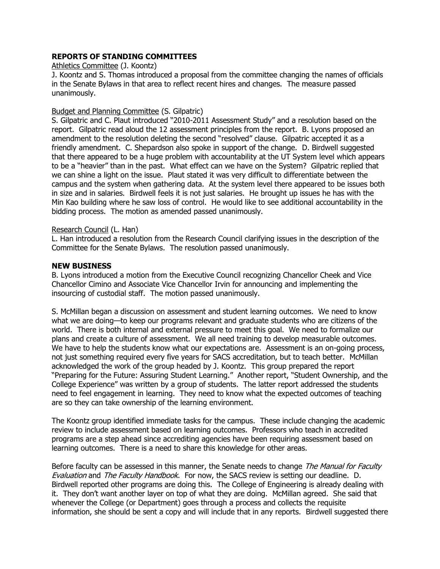# **REPORTS OF STANDING COMMITTEES**

#### Athletics Committee (J. Koontz)

J. Koontz and S. Thomas introduced a proposal from the committee changing the names of officials in the Senate Bylaws in that area to reflect recent hires and changes. The measure passed unanimously.

### Budget and Planning Committee (S. Gilpatric)

S. Gilpatric and C. Plaut introduced "2010-2011 Assessment Study" and a resolution based on the report. Gilpatric read aloud the 12 assessment principles from the report. B. Lyons proposed an amendment to the resolution deleting the second "resolved" clause. Gilpatric accepted it as a friendly amendment. C. Shepardson also spoke in support of the change. D. Birdwell suggested that there appeared to be a huge problem with accountability at the UT System level which appears to be a "heavier" than in the past. What effect can we have on the System? Gilpatric replied that we can shine a light on the issue. Plaut stated it was very difficult to differentiate between the campus and the system when gathering data. At the system level there appeared to be issues both in size and in salaries. Birdwell feels it is not just salaries. He brought up issues he has with the Min Kao building where he saw loss of control. He would like to see additional accountability in the bidding process. The motion as amended passed unanimously.

# Research Council (L. Han)

L. Han introduced a resolution from the Research Council clarifying issues in the description of the Committee for the Senate Bylaws. The resolution passed unanimously.

#### **NEW BUSINESS**

B. Lyons introduced a motion from the Executive Council recognizing Chancellor Cheek and Vice Chancellor Cimino and Associate Vice Chancellor Irvin for announcing and implementing the insourcing of custodial staff. The motion passed unanimously.

S. McMillan began a discussion on assessment and student learning outcomes. We need to know what we are doing—to keep our programs relevant and graduate students who are citizens of the world. There is both internal and external pressure to meet this goal. We need to formalize our plans and create a culture of assessment. We all need training to develop measurable outcomes. We have to help the students know what our expectations are. Assessment is an on-going process, not just something required every five years for SACS accreditation, but to teach better. McMillan acknowledged the work of the group headed by J. Koontz. This group prepared the report "Preparing for the Future: Assuring Student Learning." Another report, "Student Ownership, and the College Experience" was written by a group of students. The latter report addressed the students need to feel engagement in learning. They need to know what the expected outcomes of teaching are so they can take ownership of the learning environment.

The Koontz group identified immediate tasks for the campus. These include changing the academic review to include assessment based on learning outcomes. Professors who teach in accredited programs are a step ahead since accrediting agencies have been requiring assessment based on learning outcomes. There is a need to share this knowledge for other areas.

Before faculty can be assessed in this manner, the Senate needs to change The Manual for Faculty Evaluation and The Faculty Handbook. For now, the SACS review is setting our deadline. D. Birdwell reported other programs are doing this. The College of Engineering is already dealing with it. They don't want another layer on top of what they are doing. McMillan agreed. She said that whenever the College (or Department) goes through a process and collects the requisite information, she should be sent a copy and will include that in any reports. Birdwell suggested there